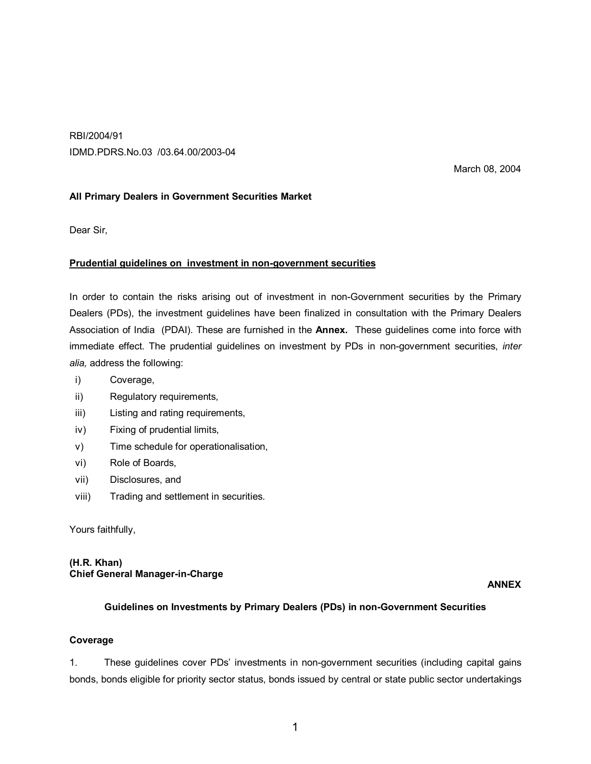RBI/2004/91 IDMD.PDRS.No.03 /03.64.00/2003-04

March 08, 2004

## **All Primary Dealers in Government Securities Market**

Dear Sir,

#### **Prudential guidelines on investment in non-government securities**

In order to contain the risks arising out of investment in non-Government securities by the Primary Dealers (PDs), the investment guidelines have been finalized in consultation with the Primary Dealers Association of India (PDAI). These are furnished in the **Annex.** These guidelines come into force with immediate effect. The prudential guidelines on investment by PDs in non-government securities, *inter alia,* address the following:

- i) Coverage,
- ii) Regulatory requirements,
- iii) Listing and rating requirements,
- iv) Fixing of prudential limits,
- v) Time schedule for operationalisation,
- vi) Role of Boards,
- vii) Disclosures, and
- viii) Trading and settlement in securities.

Yours faithfully,

#### **(H.R. Khan) Chief General Manager-in-Charge**

**ANNEX**

#### **Guidelines on Investments by Primary Dealers (PDs) in non-Government Securities**

#### **Coverage**

1. These guidelines cover PDs' investments in non-government securities (including capital gains bonds, bonds eligible for priority sector status, bonds issued by central or state public sector undertakings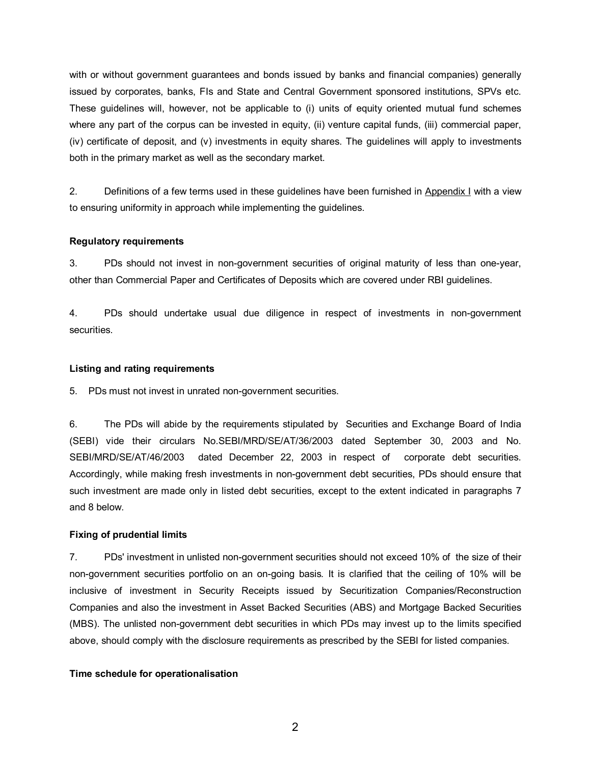with or without government guarantees and bonds issued by banks and financial companies) generally issued by corporates, banks, FIs and State and Central Government sponsored institutions, SPVs etc. These guidelines will, however, not be applicable to (i) units of equity oriented mutual fund schemes where any part of the corpus can be invested in equity, (ii) venture capital funds, (iii) commercial paper, (iv) certificate of deposit, and (v) investments in equity shares. The guidelines will apply to investments both in the primary market as well as the secondary market.

2. Definitions of a few terms used in these guidelines have been furnished in Appendix I with a view to ensuring uniformity in approach while implementing the guidelines.

## **Regulatory requirements**

3. PDs should not invest in non-government securities of original maturity of less than one-year, other than Commercial Paper and Certificates of Deposits which are covered under RBI guidelines.

4. PDs should undertake usual due diligence in respect of investments in non-government securities.

#### **Listing and rating requirements**

5. PDs must not invest in unrated non-government securities.

6. The PDs will abide by the requirements stipulated by Securities and Exchange Board of India (SEBI) vide their circulars No.SEBI/MRD/SE/AT/36/2003 dated September 30, 2003 and No. SEBI/MRD/SE/AT/46/2003 dated December 22, 2003 in respect of corporate debt securities. Accordingly, while making fresh investments in non-government debt securities, PDs should ensure that such investment are made only in listed debt securities, except to the extent indicated in paragraphs 7 and 8 below.

#### **Fixing of prudential limits**

7. PDs' investment in unlisted non-government securities should not exceed 10% of the size of their non-government securities portfolio on an on-going basis*.* It is clarified that the ceiling of 10% will be inclusive of investment in Security Receipts issued by Securitization Companies/Reconstruction Companies and also the investment in Asset Backed Securities (ABS) and Mortgage Backed Securities (MBS). The unlisted non-government debt securities in which PDs may invest up to the limits specified above, should comply with the disclosure requirements as prescribed by the SEBI for listed companies.

## **Time schedule for operationalisation**

2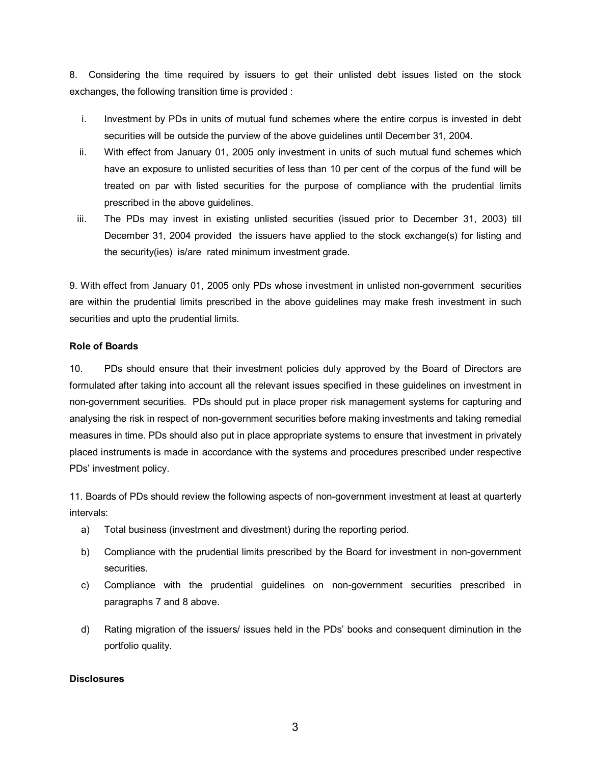8. Considering the time required by issuers to get their unlisted debt issues listed on the stock exchanges, the following transition time is provided :

- i. Investment by PDs in units of mutual fund schemes where the entire corpus is invested in debt securities will be outside the purview of the above guidelines until December 31, 2004.
- ii. With effect from January 01, 2005 only investment in units of such mutual fund schemes which have an exposure to unlisted securities of less than 10 per cent of the corpus of the fund will be treated on par with listed securities for the purpose of compliance with the prudential limits prescribed in the above guidelines.
- iii. The PDs may invest in existing unlisted securities (issued prior to December 31, 2003) till December 31, 2004 provided the issuers have applied to the stock exchange(s) for listing and the security(ies) is/are rated minimum investment grade.

9. With effect from January 01, 2005 only PDs whose investment in unlisted non-government securities are within the prudential limits prescribed in the above guidelines may make fresh investment in such securities and upto the prudential limits.

## **Role of Boards**

10. PDs should ensure that their investment policies duly approved by the Board of Directors are formulated after taking into account all the relevant issues specified in these guidelines on investment in non-government securities. PDs should put in place proper risk management systems for capturing and analysing the risk in respect of non-government securities before making investments and taking remedial measures in time. PDs should also put in place appropriate systems to ensure that investment in privately placed instruments is made in accordance with the systems and procedures prescribed under respective PDs' investment policy.

11. Boards of PDs should review the following aspects of non-government investment at least at quarterly intervals:

- a) Total business (investment and divestment) during the reporting period.
- b) Compliance with the prudential limits prescribed by the Board for investment in non-government securities.
- c) Compliance with the prudential guidelines on non-government securities prescribed in paragraphs 7 and 8 above.
- d) Rating migration of the issuers/ issues held in the PDs' books and consequent diminution in the portfolio quality.

# **Disclosures**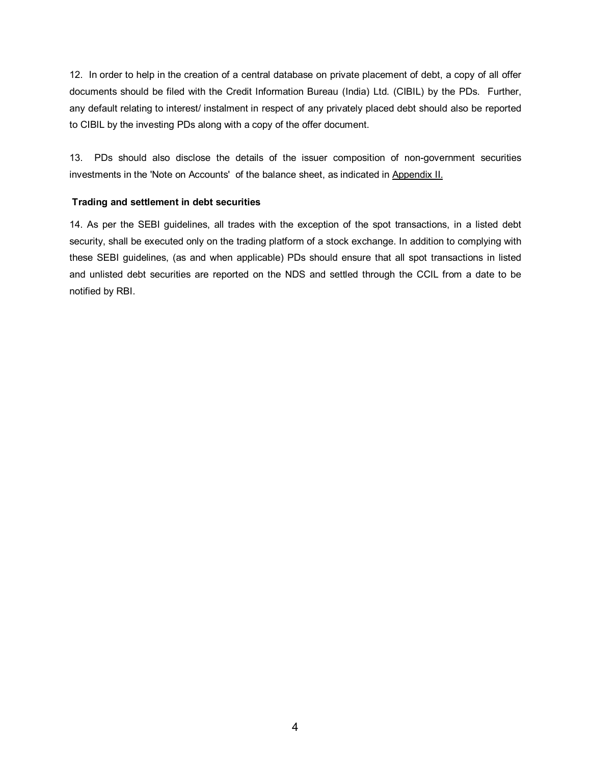12.In order to help in the creation of a central database on private placement of debt, a copy of all offer documents should be filed with the Credit Information Bureau (India) Ltd. (CIBIL) by the PDs. Further, any default relating to interest/ instalment in respect of any privately placed debt should also be reported to CIBIL by the investing PDs along with a copy of the offer document.

13. PDs should also disclose the details of the issuer composition of non-government securities investments in the 'Note on Accounts' of the balance sheet, as indicated in Appendix II.

## **Trading and settlement in debt securities**

14. As per the SEBI guidelines, all trades with the exception of the spot transactions, in a listed debt security, shall be executed only on the trading platform of a stock exchange. In addition to complying with these SEBI guidelines, (as and when applicable) PDs should ensure that all spot transactions in listed and unlisted debt securities are reported on the NDS and settled through the CCIL from a date to be notified by RBI.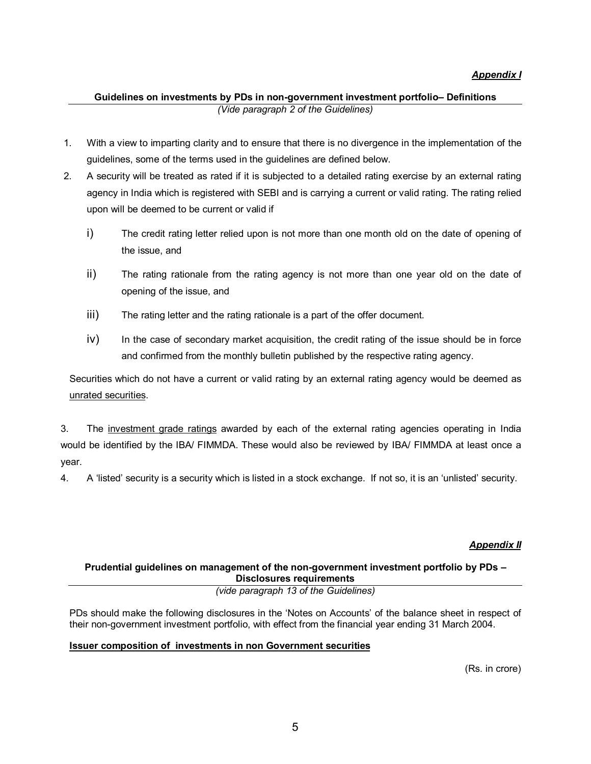## **Guidelines on investments by PDs in non-government investment portfolio– Definitions** *(Vide paragraph 2 of the Guidelines)*

- 1. With a view to imparting clarity and to ensure that there is no divergence in the implementation of the guidelines, some of the terms used in the guidelines are defined below.
- 2. A security will be treated as rated if it is subjected to a detailed rating exercise by an external rating agency in India which is registered with SEBI and is carrying a current or valid rating. The rating relied upon will be deemed to be current or valid if
	- i) The credit rating letter relied upon is not more than one month old on the date of opening of the issue, and
	- ii) The rating rationale from the rating agency is not more than one year old on the date of opening of the issue, and
	- iii) The rating letter and the rating rationale is a part of the offer document.
	- iv) In the case of secondary market acquisition, the credit rating of the issue should be in force and confirmed from the monthly bulletin published by the respective rating agency.

Securities which do not have a current or valid rating by an external rating agency would be deemed as unrated securities.

3. The investment grade ratings awarded by each of the external rating agencies operating in India would be identified by the IBA/ FIMMDA. These would also be reviewed by IBA/ FIMMDA at least once a year.

4. A 'listed' security is a security which is listed in a stock exchange. If not so, it is an 'unlisted' security.

# *Appendix II*

# **Prudential guidelines on management of the non-government investment portfolio by PDs – Disclosures requirements**

*(vide paragraph 13 of the Guidelines)*

PDs should make the following disclosures in the 'Notes on Accounts' of the balance sheet in respect of their non-government investment portfolio, with effect from the financial year ending 31 March 2004.

## **Issuer composition of investments in non Government securities**

(Rs. in crore)